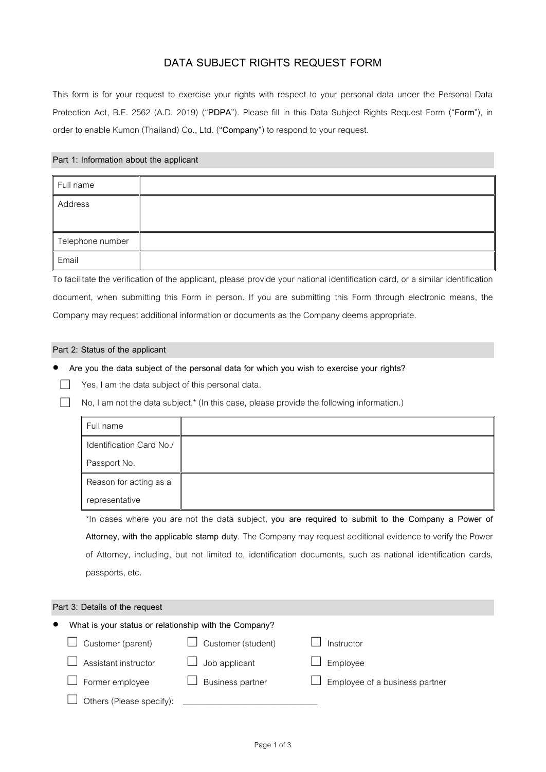# **DATA SUBJECT RIGHTS REQUEST FORM**

This form is for your request to exercise your rights with respect to your personal data under the Personal Data Protection Act, B.E. 2562 (A.D. 2019) ("**PDPA**"). Please fill in this Data Subject Rights Request Form ("**Form**"), in order to enable Kumon (Thailand) Co., Ltd. ("Company") to respond to your request.

## **Part 1: Information about the applicant**

| Full name        |  |
|------------------|--|
| Address          |  |
| Telephone number |  |
| Email            |  |

To facilitate the verification of the applicant, please provide your national identification card, or a similar identification document, when submitting this Form in person. If you are submitting this Form through electronic means, the Company may request additional information or documents as the Company deems appropriate.

#### **Part 2: Status of the applicant**

**Are you the data subject of the personal data for which you wish to exercise your rights?** 

- $\Box$  Yes, I am the data subject of this personal data.
- $\Box$  No, I am not the data subject.\* (In this case, please provide the following information.)

| Full name                |  |
|--------------------------|--|
| Identification Card No./ |  |
| Passport No.             |  |
| Reason for acting as a   |  |
| representative           |  |

\*In cases where you are not the data subject, **you are required to submit to the Company a Power of Attorney, with the applicable stamp duty.** The Company may request additional evidence to verify the Power of Attorney, including, but not limited to, identification documents, such as national identification cards, passports, etc.

## **Part 3: Details of the request**

| $\bullet$ | What is your status or relationship with the Company? |                         |                                |
|-----------|-------------------------------------------------------|-------------------------|--------------------------------|
|           | Customer (parent)                                     | Customer (student)      | Instructor                     |
|           | Assistant instructor                                  | Job applicant           | Employee                       |
|           | Former employee                                       | <b>Business partner</b> | Employee of a business partner |
|           | Others (Please specify):                              |                         |                                |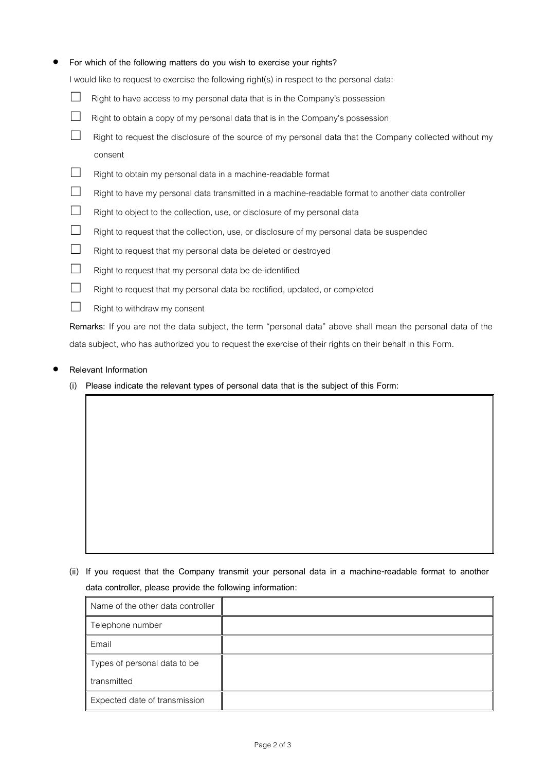## **For which of the following matters do you wish to exercise your rights?**

I would like to request to exercise the following right(s) in respect to the personal data:

- $\Box$  Right to have access to my personal data that is in the Company's possession
- $\Box$  Right to obtain a copy of my personal data that is in the Company's possession
- $\Box$  Right to request the disclosure of the source of my personal data that the Company collected without my consent
- ☐ Right to obtain my personal data in a machine-readable format
- ☐ Right to have my personal data transmitted in a machine-readable format to another data controller
- □ Right to object to the collection, use, or disclosure of my personal data
- □ Right to request that the collection, use, or disclosure of my personal data be suspended
- ☐ Right to request that my personal data be deleted or destroyed
- $□$  Right to request that my personal data be de-identified
- $□$  Right to request that my personal data be rectified, updated, or completed
- □ Right to withdraw my consent

**Remarks:** If you are not the data subject, the term "personal data" above shall mean the personal data of the data subject, who has authorized you to request the exercise of their rights on their behalf in this Form.

## **Relevant Information**

**(i) Please indicate the relevant types of personal data that is the subject of this Form:**

**(ii) If you request that the Company transmit your personal data in a machine-readable format to another data controller, please provide the following information:** 

| Name of the other data controller |  |
|-----------------------------------|--|
| Telephone number                  |  |
| Email                             |  |
| Types of personal data to be      |  |
| transmitted                       |  |
| Expected date of transmission     |  |